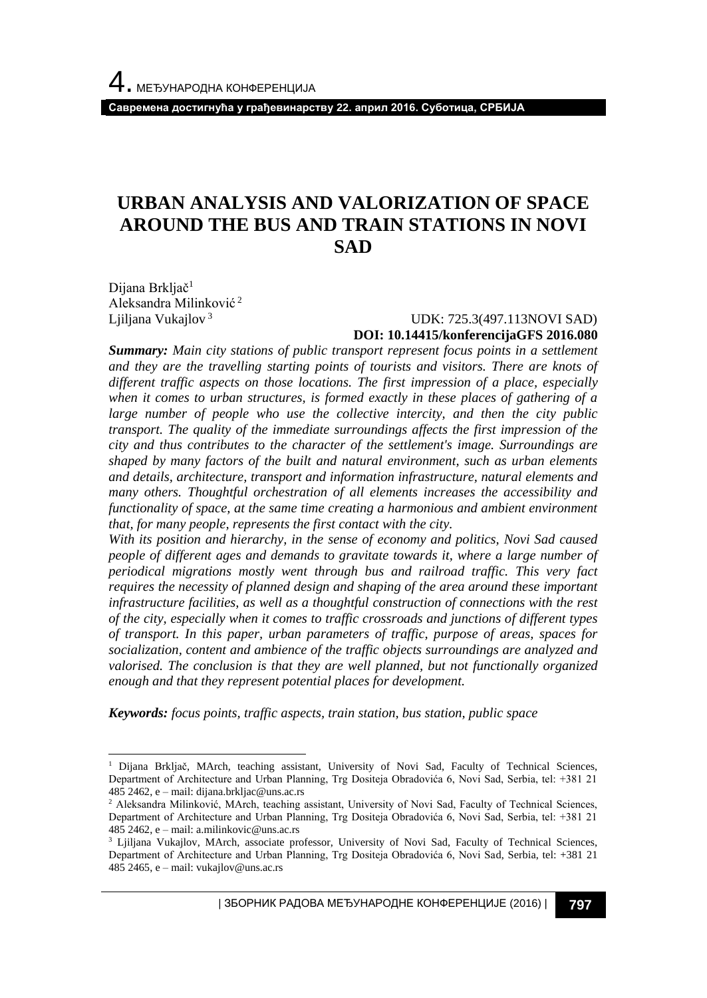**Савремена достигнућа у грађевинарству 22. април 2016. Суботица, СРБИЈА**

# **URBAN ANALYSIS AND VALORIZATION OF SPACE AROUND THE BUS AND TRAIN STATIONS IN NOVI SAD**

Dijana Brkljač<sup>1</sup> Aleksandra Milinković <sup>2</sup> Ljiljana Vukajlov<sup>3</sup>

l

#### UDK: 725.3(497.113NOVI SAD) **DOI: 10.14415/konferencijaGFS 2016.080**

*Summary: Main city stations of public transport represent focus points in a settlement and they are the travelling starting points of tourists and visitors. There are knots of different traffic aspects on those locations. The first impression of a place, especially when it comes to urban structures, is formed exactly in these places of gathering of a large number of people who use the collective intercity, and then the city public transport. The quality of the immediate surroundings affects the first impression of the city and thus contributes to the character of the settlement's image. Surroundings are shaped by many factors of the built and natural environment, such as urban elements and details, architecture, transport and information infrastructure, natural elements and many others. Thoughtful orchestration of all elements increases the accessibility and functionality of space, at the same time creating a harmonious and ambient environment that, for many people, represents the first contact with the city.*

*With its position and hierarchy, in the sense of economy and politics, Novi Sad caused people of different ages and demands to gravitate towards it, where a large number of periodical migrations mostly went through bus and railroad traffic. This very fact requires the necessity of planned design and shaping of the area around these important infrastructure facilities, as well as a thoughtful construction of connections with the rest of the city, especially when it comes to traffic crossroads and junctions of different types of transport. In this paper, urban parameters of traffic, purpose of areas, spaces for socialization, content and ambience of the traffic objects surroundings are analyzed and valorised. The conclusion is that they are well planned, but not functionally organized enough and that they represent potential places for development.*

*Keywords: focus points, traffic aspects, train station, bus station, public space*

| ЗБОРНИК РАДОВА МЕЂУНАРОДНЕ КОНФЕРЕНЦИЈЕ (2016) | **797**

<sup>&</sup>lt;sup>1</sup> Dijana Brkljač, MArch, teaching assistant, University of Novi Sad, Faculty of Technical Sciences, Department of Architecture and Urban Planning, Trg Dositeja Obradovića 6, Novi Sad, Serbia, tel: +381 21 485 2462, e – mail: dijana.brkljac@uns.ac.rs

<sup>&</sup>lt;sup>2</sup> Aleksandra Milinković, MArch, teaching assistant, University of Novi Sad, Faculty of Technical Sciences, Department of Architecture and Urban Planning, Trg Dositeja Obradovića 6, Novi Sad, Serbia, tel: +381 21 485 2462, e – mail: a.milinkovic@uns.ac.rs

<sup>&</sup>lt;sup>3</sup> Ljiljana Vukajlov, MArch, associate professor, University of Novi Sad, Faculty of Technical Sciences, Department of Architecture and Urban Planning, Trg Dositeja Obradovića 6, Novi Sad, Serbia, tel: +381 21 485 2465, e – mail: vukajlov@uns.ac.rs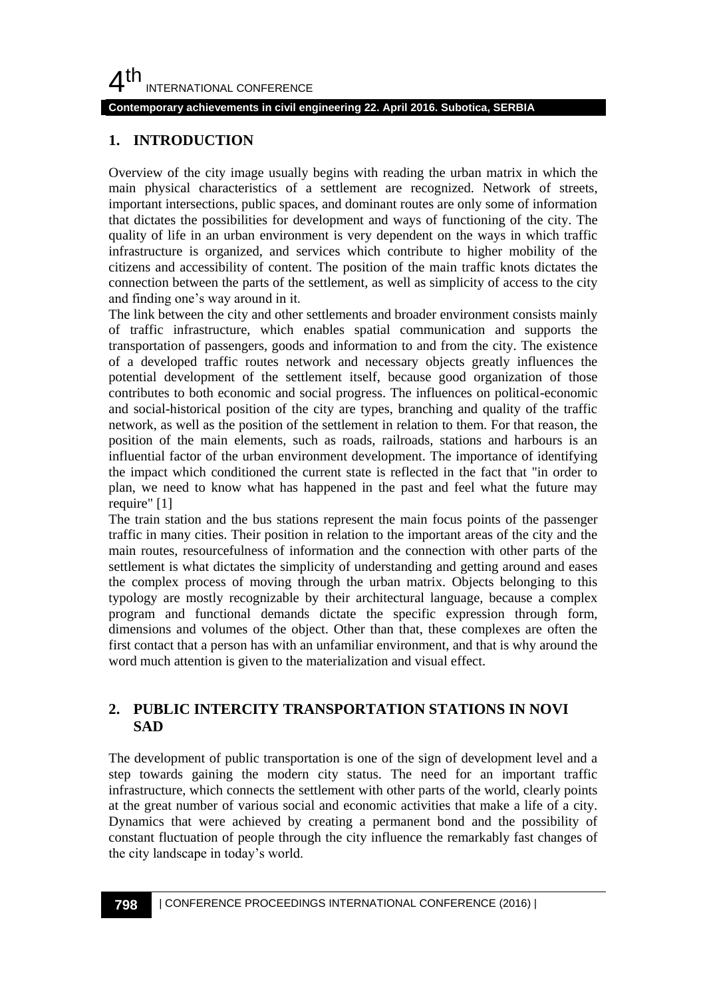### $4<sup>th</sup>$ INTERNATIONAL CONFERENCE

#### **Contemporary achievements in civil engineering 22. April 2016. Subotica, SERBIA**

#### **1. INTRODUCTION**

Overview of the city image usually begins with reading the urban matrix in which the main physical characteristics of a settlement are recognized. Network of streets, important intersections, public spaces, and dominant routes are only some of information that dictates the possibilities for development and ways of functioning of the city. The quality of life in an urban environment is very dependent on the ways in which traffic infrastructure is organized, and services which contribute to higher mobility of the citizens and accessibility of content. The position of the main traffic knots dictates the connection between the parts of the settlement, as well as simplicity of access to the city and finding one's way around in it.

The link between the city and other settlements and broader environment consists mainly of traffic infrastructure, which enables spatial communication and supports the transportation of passengers, goods and information to and from the city. The existence of a developed traffic routes network and necessary objects greatly influences the potential development of the settlement itself, because good organization of those contributes to both economic and social progress. The influences on political-economic and social-historical position of the city are types, branching and quality of the traffic network, as well as the position of the settlement in relation to them. For that reason, the position of the main elements, such as roads, railroads, stations and harbours is an influential factor of the urban environment development. The importance of identifying the impact which conditioned the current state is reflected in the fact that "in order to plan, we need to know what has happened in the past and feel what the future may require" [1]

The train station and the bus stations represent the main focus points of the passenger traffic in many cities. Their position in relation to the important areas of the city and the main routes, resourcefulness of information and the connection with other parts of the settlement is what dictates the simplicity of understanding and getting around and eases the complex process of moving through the urban matrix. Objects belonging to this typology are mostly recognizable by their architectural language, because a complex program and functional demands dictate the specific expression through form, dimensions and volumes of the object. Other than that, these complexes are often the first contact that a person has with an unfamiliar environment, and that is why around the word much attention is given to the materialization and visual effect.

#### **2. PUBLIC INTERCITY TRANSPORTATION STATIONS IN NOVI SAD**

The development of public transportation is one of the sign of development level and a step towards gaining the modern city status. The need for an important traffic infrastructure, which connects the settlement with other parts of the world, clearly points at the great number of various social and economic activities that make a life of a city. Dynamics that were achieved by creating a permanent bond and the possibility of constant fluctuation of people through the city influence the remarkably fast changes of the city landscape in today's world.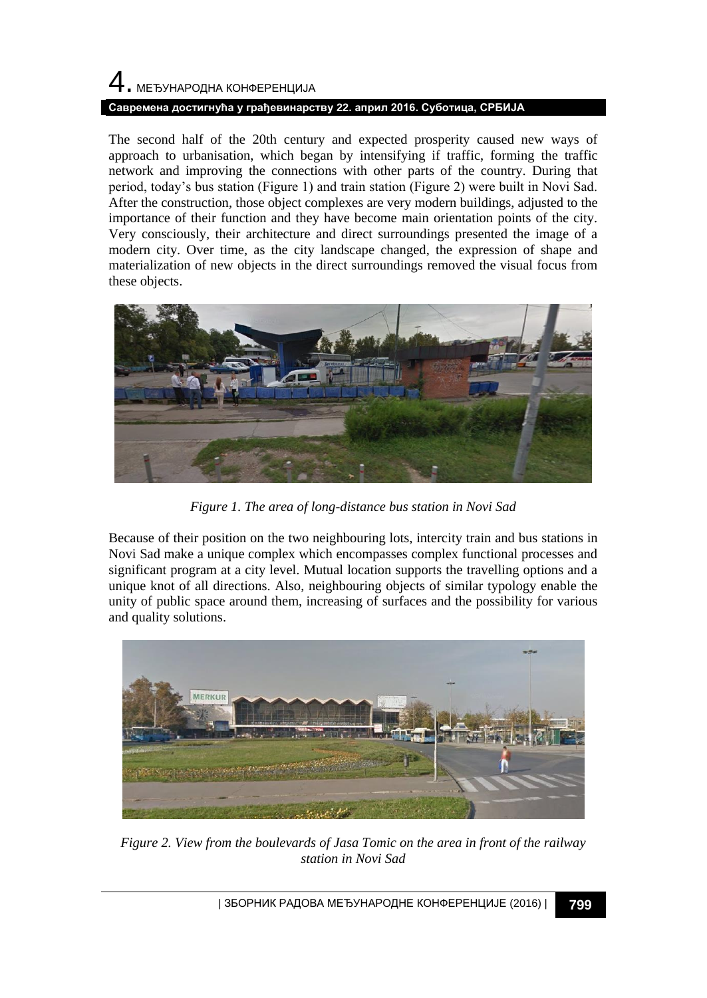# 4. МЕЂУНАРОДНА КОНФЕРЕНЦИЈА **Савремена достигнућа у грађевинарству 22. април 2016. Суботица, СРБИЈА**

The second half of the 20th century and expected prosperity caused new ways of approach to urbanisation, which began by intensifying if traffic, forming the traffic network and improving the connections with other parts of the country. During that period, today's bus station (Figure 1) and train station (Figure 2) were built in Novi Sad. After the construction, those object complexes are very modern buildings, adjusted to the importance of their function and they have become main orientation points of the city. Very consciously, their architecture and direct surroundings presented the image of a modern city. Over time, as the city landscape changed, the expression of shape and materialization of new objects in the direct surroundings removed the visual focus from these objects.



*Figure 1. The area of long-distance bus station in Novi Sad*

Because of their position on the two neighbouring lots, intercity train and bus stations in Novi Sad make a unique complex which encompasses complex functional processes and significant program at a city level. Mutual location supports the travelling options and a unique knot of all directions. Also, neighbouring objects of similar typology enable the unity of public space around them, increasing of surfaces and the possibility for various and quality solutions.



*Figure 2. View from the boulevards of Jasa Tomic on the area in front of the railway station in Novi Sad*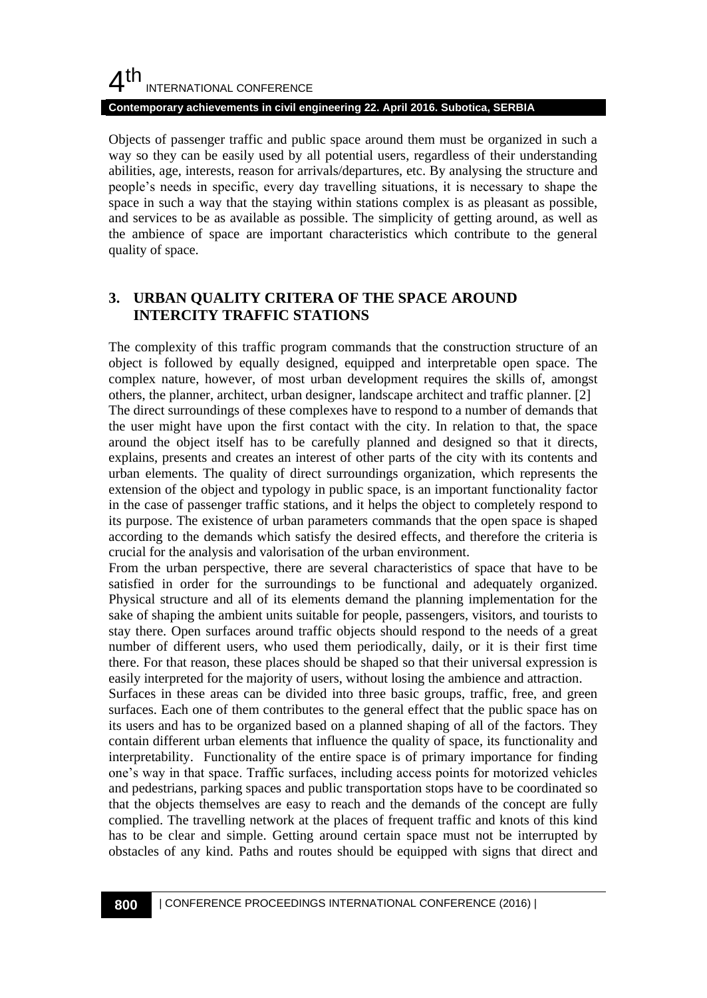#### $4<sup>th</sup>$ INTERNATIONAL CONFERENCE **Contemporary achievements in civil engineering 22. April 2016. Subotica, SERBIA**

Objects of passenger traffic and public space around them must be organized in such a way so they can be easily used by all potential users, regardless of their understanding abilities, age, interests, reason for arrivals/departures, etc. By analysing the structure and people's needs in specific, every day travelling situations, it is necessary to shape the space in such a way that the staying within stations complex is as pleasant as possible, and services to be as available as possible. The simplicity of getting around, as well as the ambience of space are important characteristics which contribute to the general quality of space.

## **3. URBAN QUALITY CRITERA OF THE SPACE AROUND INTERCITY TRAFFIC STATIONS**

The complexity of this traffic program commands that the construction structure of an object is followed by equally designed, equipped and interpretable open space. The complex nature, however, of most urban development requires the skills of, amongst others, the planner, architect, urban designer, landscape architect and traffic planner. [2] The direct surroundings of these complexes have to respond to a number of demands that the user might have upon the first contact with the city. In relation to that, the space around the object itself has to be carefully planned and designed so that it directs, explains, presents and creates an interest of other parts of the city with its contents and urban elements. The quality of direct surroundings organization, which represents the extension of the object and typology in public space, is an important functionality factor in the case of passenger traffic stations, and it helps the object to completely respond to its purpose. The existence of urban parameters commands that the open space is shaped according to the demands which satisfy the desired effects, and therefore the criteria is crucial for the analysis and valorisation of the urban environment.

From the urban perspective, there are several characteristics of space that have to be satisfied in order for the surroundings to be functional and adequately organized. Physical structure and all of its elements demand the planning implementation for the sake of shaping the ambient units suitable for people, passengers, visitors, and tourists to stay there. Open surfaces around traffic objects should respond to the needs of a great number of different users, who used them periodically, daily, or it is their first time there. For that reason, these places should be shaped so that their universal expression is easily interpreted for the majority of users, without losing the ambience and attraction.

Surfaces in these areas can be divided into three basic groups, traffic, free, and green surfaces. Each one of them contributes to the general effect that the public space has on its users and has to be organized based on a planned shaping of all of the factors. They contain different urban elements that influence the quality of space, its functionality and interpretability. Functionality of the entire space is of primary importance for finding one's way in that space. Traffic surfaces, including access points for motorized vehicles and pedestrians, parking spaces and public transportation stops have to be coordinated so that the objects themselves are easy to reach and the demands of the concept are fully complied. The travelling network at the places of frequent traffic and knots of this kind has to be clear and simple. Getting around certain space must not be interrupted by obstacles of any kind. Paths and routes should be equipped with signs that direct and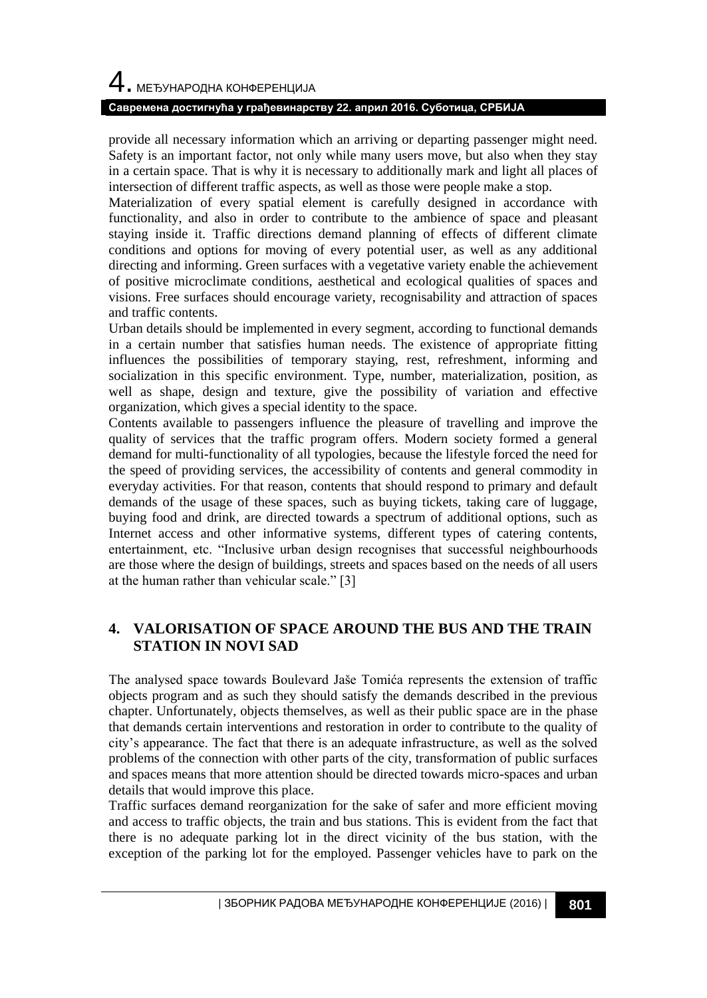# 4. МЕЂУНАРОДНА КОНФЕРЕНЦИЈА

#### **Савремена достигнућа у грађевинарству 22. април 2016. Суботица, СРБИЈА**

provide all necessary information which an arriving or departing passenger might need. Safety is an important factor, not only while many users move, but also when they stay in a certain space. That is why it is necessary to additionally mark and light all places of intersection of different traffic aspects, as well as those were people make a stop.

Materialization of every spatial element is carefully designed in accordance with functionality, and also in order to contribute to the ambience of space and pleasant staying inside it. Traffic directions demand planning of effects of different climate conditions and options for moving of every potential user, as well as any additional directing and informing. Green surfaces with a vegetative variety enable the achievement of positive microclimate conditions, aesthetical and ecological qualities of spaces and visions. Free surfaces should encourage variety, recognisability and attraction of spaces and traffic contents.

Urban details should be implemented in every segment, according to functional demands in a certain number that satisfies human needs. The existence of appropriate fitting influences the possibilities of temporary staying, rest, refreshment, informing and socialization in this specific environment. Type, number, materialization, position, as well as shape, design and texture, give the possibility of variation and effective organization, which gives a special identity to the space.

Contents available to passengers influence the pleasure of travelling and improve the quality of services that the traffic program offers. Modern society formed a general demand for multi-functionality of all typologies, because the lifestyle forced the need for the speed of providing services, the accessibility of contents and general commodity in everyday activities. For that reason, contents that should respond to primary and default demands of the usage of these spaces, such as buying tickets, taking care of luggage, buying food and drink, are directed towards a spectrum of additional options, such as Internet access and other informative systems, different types of catering contents, entertainment, etc. "Inclusive urban design recognises that successful neighbourhoods are those where the design of buildings, streets and spaces based on the needs of all users at the human rather than vehicular scale." [3]

## **4. VALORISATION OF SPACE AROUND THE BUS AND THE TRAIN STATION IN NOVI SAD**

The analysed space towards Boulevard Jaše Tomića represents the extension of traffic objects program and as such they should satisfy the demands described in the previous chapter. Unfortunately, objects themselves, as well as their public space are in the phase that demands certain interventions and restoration in order to contribute to the quality of city's appearance. The fact that there is an adequate infrastructure, as well as the solved problems of the connection with other parts of the city, transformation of public surfaces and spaces means that more attention should be directed towards micro-spaces and urban details that would improve this place.

Traffic surfaces demand reorganization for the sake of safer and more efficient moving and access to traffic objects, the train and bus stations. This is evident from the fact that there is no adequate parking lot in the direct vicinity of the bus station, with the exception of the parking lot for the employed. Passenger vehicles have to park on the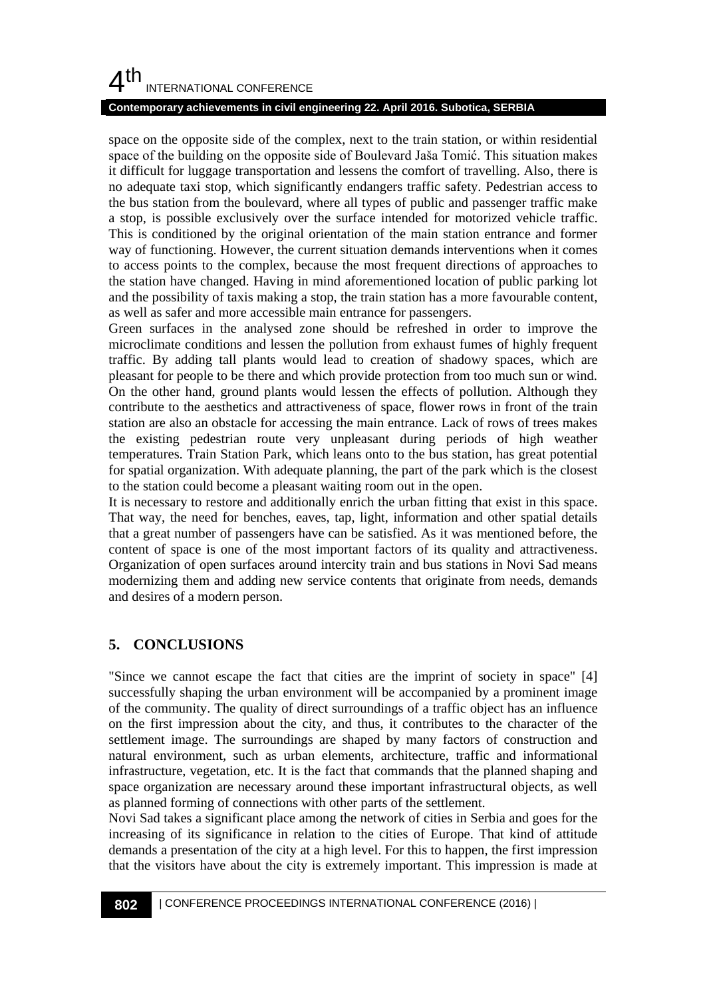# $4<sup>th</sup>$ INTERNATIONAL CONFERENCE

#### **Contemporary achievements in civil engineering 22. April 2016. Subotica, SERBIA**

space on the opposite side of the complex, next to the train station, or within residential space of the building on the opposite side of Boulevard Jaša Tomić. This situation makes it difficult for luggage transportation and lessens the comfort of travelling. Also, there is no adequate taxi stop, which significantly endangers traffic safety. Pedestrian access to the bus station from the boulevard, where all types of public and passenger traffic make a stop, is possible exclusively over the surface intended for motorized vehicle traffic. This is conditioned by the original orientation of the main station entrance and former way of functioning. However, the current situation demands interventions when it comes to access points to the complex, because the most frequent directions of approaches to the station have changed. Having in mind aforementioned location of public parking lot and the possibility of taxis making a stop, the train station has a more favourable content, as well as safer and more accessible main entrance for passengers.

Green surfaces in the analysed zone should be refreshed in order to improve the microclimate conditions and lessen the pollution from exhaust fumes of highly frequent traffic. By adding tall plants would lead to creation of shadowy spaces, which are pleasant for people to be there and which provide protection from too much sun or wind. On the other hand, ground plants would lessen the effects of pollution. Although they contribute to the aesthetics and attractiveness of space, flower rows in front of the train station are also an obstacle for accessing the main entrance. Lack of rows of trees makes the existing pedestrian route very unpleasant during periods of high weather temperatures. Train Station Park, which leans onto to the bus station, has great potential for spatial organization. With adequate planning, the part of the park which is the closest to the station could become a pleasant waiting room out in the open.

It is necessary to restore and additionally enrich the urban fitting that exist in this space. That way, the need for benches, eaves, tap, light, information and other spatial details that a great number of passengers have can be satisfied. As it was mentioned before, the content of space is one of the most important factors of its quality and attractiveness. Organization of open surfaces around intercity train and bus stations in Novi Sad means modernizing them and adding new service contents that originate from needs, demands and desires of a modern person.

#### **5. CONCLUSIONS**

"Since we cannot escape the fact that cities are the imprint of society in space" [4] successfully shaping the urban environment will be accompanied by a prominent image of the community. The quality of direct surroundings of a traffic object has an influence on the first impression about the city, and thus, it contributes to the character of the settlement image. The surroundings are shaped by many factors of construction and natural environment, such as urban elements, architecture, traffic and informational infrastructure, vegetation, etc. It is the fact that commands that the planned shaping and space organization are necessary around these important infrastructural objects, as well as planned forming of connections with other parts of the settlement.

Novi Sad takes a significant place among the network of cities in Serbia and goes for the increasing of its significance in relation to the cities of Europe. That kind of attitude demands a presentation of the city at a high level. For this to happen, the first impression that the visitors have about the city is extremely important. This impression is made at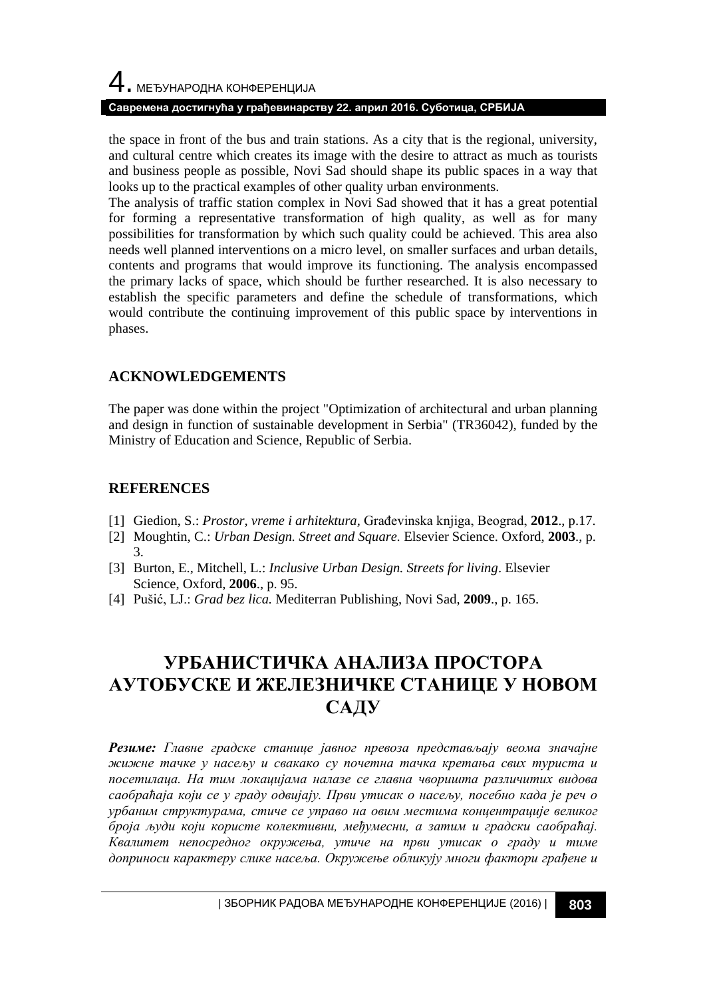#### **Савремена достигнућа у грађевинарству 22. април 2016. Суботица, СРБИЈА**

the space in front of the bus and train stations. As a city that is the regional, university, and cultural centre which creates its image with the desire to attract as much as tourists and business people as possible, Novi Sad should shape its public spaces in a way that looks up to the practical examples of other quality urban environments.

The analysis of traffic station complex in Novi Sad showed that it has a great potential for forming a representative transformation of high quality, as well as for many possibilities for transformation by which such quality could be achieved. This area also needs well planned interventions on a micro level, on smaller surfaces and urban details, contents and programs that would improve its functioning. The analysis encompassed the primary lacks of space, which should be further researched. It is also necessary to establish the specific parameters and define the schedule of transformations, which would contribute the continuing improvement of this public space by interventions in phases.

#### **ACKNOWLEDGEMENTS**

The paper was done within the project "Optimization of architectural and urban planning and design in function of sustainable development in Serbia" (TR36042), funded by the Ministry of Education and Science, Republic of Serbia.

#### **REFERENCES**

- [1] Giedion, S.: *Prostor, vreme i arhitektura,* Građevinska knjiga, Beograd, **2012**., p.17.
- [2] Moughtin, C.: *Urban Design. Street and Square.* Elsevier Science. Oxford, **2003**., p. 3.
- [3] Burton, E., Mitchell, L.: *Inclusive Urban Design. Streets for living*. Elsevier Science, Oxford, **2006**., p. 95.
- [4] Pušić, LJ.: *Grad bez lica.* Mediterran Publishing, Novi Sad, **2009**., p. 165.

# **УРБАНИСТИЧКА АНАЛИЗА ПРОСТОРА АУТОБУСКЕ И ЖЕЛЕЗНИЧКЕ СТАНИЦЕ У НОВОМ САДУ**

*Резиме: Главне градске станице јавног превоза представљају веома значајне жижне тачке у насељу и свакако су почетна тачка кретања свих туриста и посетилаца. На тим локацијама налазе се главна чворишта различитих видова саобраћаја који се у граду одвијају. Први утисак о насељу, посебно када је реч о урбаним структурама, стиче се управо на овим местима концентрације великог броја људи који користе колективни, међумесни, а затим и градски саобраћај. Квалитет непосредног окружења, утиче на први утисак о граду и тиме доприноси карактеру слике насеља. Окружење обликују многи фактори грађене и*